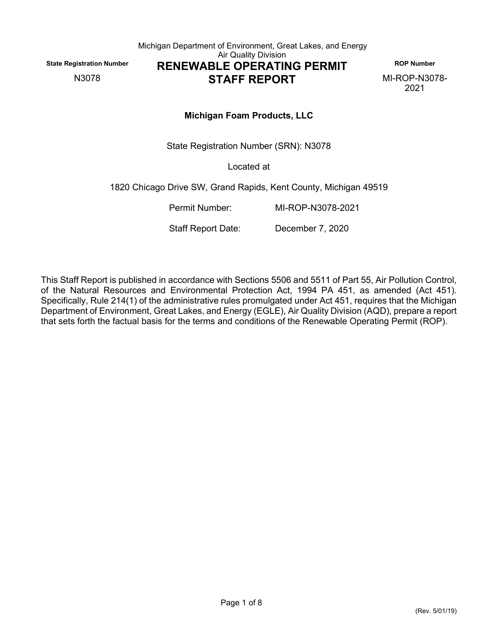<span id="page-0-0"></span>

Michigan Department of Environment, Great Lakes, and Energy Air Quality Division **State Registration Number**<br>
N3078 **RENEWABLE OPERATING PERMIT** ROP Number<br> **RENEWABLE OPERATING PERMIT** MI-ROP-N3078-

# **STAFF REPORT**

2021

# **Michigan Foam Products, LLC**

State Registration Number (SRN): [N3078](#page-0-0)

Located at

1820 Chicago Drive SW, Grand Rapids, Kent County, Michigan 49519

Permit Number: MI-ROP-N3078-2021

Staff Report Date: December 7, 2020

This Staff Report is published in accordance with Sections 5506 and 5511 of Part 55, Air Pollution Control, of the Natural Resources and Environmental Protection Act, 1994 PA 451, as amended (Act 451). Specifically, Rule 214(1) of the administrative rules promulgated under Act 451, requires that the Michigan Department of Environment, Great Lakes, and Energy (EGLE), Air Quality Division (AQD), prepare a report that sets forth the factual basis for the terms and conditions of the Renewable Operating Permit (ROP).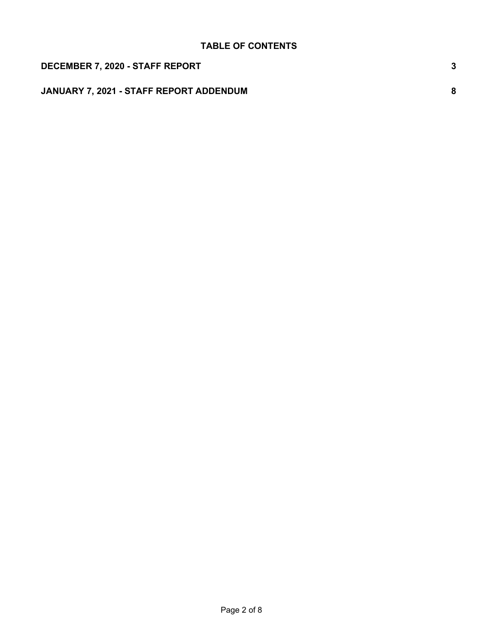| DECEMBER 7, 2020 - STAFF REPORT                |   |
|------------------------------------------------|---|
| <b>JANUARY 7, 2021 - STAFF REPORT ADDENDUM</b> | 8 |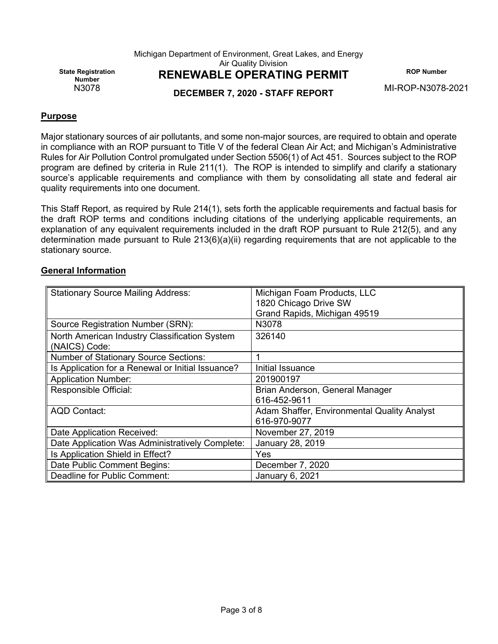Michigan Department of Environment, Great Lakes, and Energy

Air Quality Division

**State Registration** 

# N3078 **DECEMBER 7, 2020 - STAFF REPORT** MI-ROP-N3078-2021

**RENEWABLE OPERATING PERMIT** ROP Number

### **Purpose**

Major stationary sources of air pollutants, and some non-major sources, are required to obtain and operate in compliance with an ROP pursuant to Title V of the federal Clean Air Act; and Michigan's Administrative Rules for Air Pollution Control promulgated under Section 5506(1) of Act 451. Sources subject to the ROP program are defined by criteria in Rule 211(1). The ROP is intended to simplify and clarify a stationary source's applicable requirements and compliance with them by consolidating all state and federal air quality requirements into one document.

This Staff Report, as required by Rule 214(1), sets forth the applicable requirements and factual basis for the draft ROP terms and conditions including citations of the underlying applicable requirements, an explanation of any equivalent requirements included in the draft ROP pursuant to Rule 212(5), and any determination made pursuant to Rule 213(6)(a)(ii) regarding requirements that are not applicable to the stationary source.

#### **General Information**

| <b>Stationary Source Mailing Address:</b>         | Michigan Foam Products, LLC<br>1820 Chicago Drive SW |
|---------------------------------------------------|------------------------------------------------------|
|                                                   | Grand Rapids, Michigan 49519                         |
| Source Registration Number (SRN):                 | N3078                                                |
| North American Industry Classification System     | 326140                                               |
| (NAICS) Code:                                     |                                                      |
| <b>Number of Stationary Source Sections:</b>      |                                                      |
| Is Application for a Renewal or Initial Issuance? | Initial Issuance                                     |
| <b>Application Number:</b>                        | 201900197                                            |
| Responsible Official:                             | Brian Anderson, General Manager                      |
|                                                   | 616-452-9611                                         |
| <b>AQD Contact:</b>                               | Adam Shaffer, Environmental Quality Analyst          |
|                                                   | 616-970-9077                                         |
| Date Application Received:                        | November 27, 2019                                    |
| Date Application Was Administratively Complete:   | January 28, 2019                                     |
| Is Application Shield in Effect?                  | Yes                                                  |
| Date Public Comment Begins:                       | December 7, 2020                                     |
| Deadline for Public Comment:                      | January 6, 2021                                      |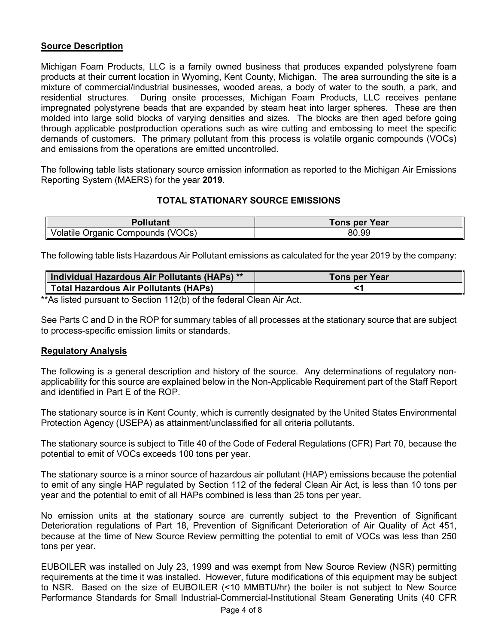# **Source Description**

Michigan Foam Products, LLC is a family owned business that produces expanded polystyrene foam products at their current location in Wyoming, Kent County, Michigan. The area surrounding the site is a mixture of commercial/industrial businesses, wooded areas, a body of water to the south, a park, and residential structures. During onsite processes, Michigan Foam Products, LLC receives pentane impregnated polystyrene beads that are expanded by steam heat into larger spheres. These are then molded into large solid blocks of varying densities and sizes. The blocks are then aged before going through applicable postproduction operations such as wire cutting and embossing to meet the specific demands of customers. The primary pollutant from this process is volatile organic compounds (VOCs) and emissions from the operations are emitted uncontrolled.

The following table lists stationary source emission information as reported to the Michigan Air Emissions Reporting System (MAERS) for the year **2019**.

#### **TOTAL STATIONARY SOURCE EMISSIONS**

| <b>Pollutant</b>                  | <b>Tons per Year</b> |
|-----------------------------------|----------------------|
| Volatile Organic Compounds (VOCs) | 80.99                |

The following table lists Hazardous Air Pollutant emissions as calculated for the year 2019 by the company:

| Individual Hazardous Air Pollutants (HAPs) ** | Tons per Year |
|-----------------------------------------------|---------------|
| Total Hazardous Air Pollutants (HAPs)         |               |

\*\*As listed pursuant to Section 112(b) of the federal Clean Air Act.

See Parts C and D in the ROP for summary tables of all processes at the stationary source that are subject to process-specific emission limits or standards.

#### **Regulatory Analysis**

The following is a general description and history of the source. Any determinations of regulatory nonapplicability for this source are explained below in the Non-Applicable Requirement part of the Staff Report and identified in Part E of the ROP.

The stationary source is in Kent County, which is currently designated by the United States Environmental Protection Agency (USEPA) as attainment/unclassified for all criteria pollutants.

The stationary source is subject to Title 40 of the Code of Federal Regulations (CFR) Part 70, because the potential to emit of VOCs exceeds 100 tons per year.

The stationary source is a minor source of hazardous air pollutant (HAP) emissions because the potential to emit of any single HAP regulated by Section 112 of the federal Clean Air Act, is less than 10 tons per year and the potential to emit of all HAPs combined is less than 25 tons per year.

No emission units at the stationary source are currently subject to the Prevention of Significant Deterioration regulations of Part 18, Prevention of Significant Deterioration of Air Quality of Act 451, because at the time of New Source Review permitting the potential to emit of VOCs was less than 250 tons per year.

EUBOILER was installed on July 23, 1999 and was exempt from New Source Review (NSR) permitting requirements at the time it was installed. However, future modifications of this equipment may be subject to NSR. Based on the size of EUBOILER (<10 MMBTU/hr) the boiler is not subject to New Source Performance Standards for Small Industrial-Commercial-Institutional Steam Generating Units (40 CFR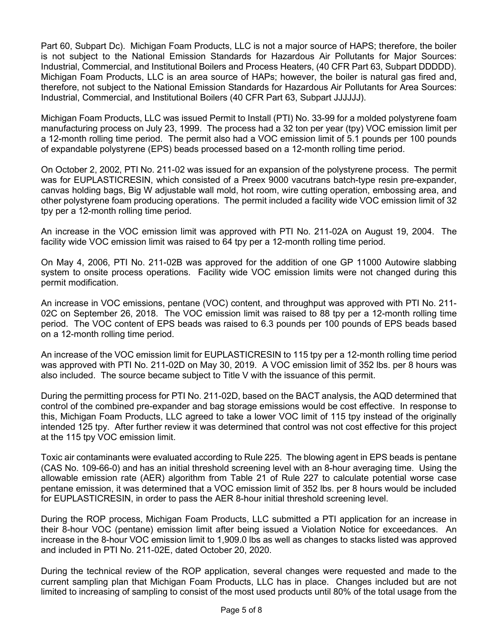Part 60, Subpart Dc). Michigan Foam Products, LLC is not a major source of HAPS; therefore, the boiler is not subject to the National Emission Standards for Hazardous Air Pollutants for Major Sources: Industrial, Commercial, and Institutional Boilers and Process Heaters, (40 CFR Part 63, Subpart DDDDD). Michigan Foam Products, LLC is an area source of HAPs; however, the boiler is natural gas fired and, therefore, not subject to the National Emission Standards for Hazardous Air Pollutants for Area Sources: Industrial, Commercial, and Institutional Boilers (40 CFR Part 63, Subpart JJJJJJ).

Michigan Foam Products, LLC was issued Permit to Install (PTI) No. 33-99 for a molded polystyrene foam manufacturing process on July 23, 1999. The process had a 32 ton per year (tpy) VOC emission limit per a 12-month rolling time period. The permit also had a VOC emission limit of 5.1 pounds per 100 pounds of expandable polystyrene (EPS) beads processed based on a 12-month rolling time period.

On October 2, 2002, PTI No. 211-02 was issued for an expansion of the polystyrene process. The permit was for EUPLASTICRESIN, which consisted of a Preex 9000 vacutrans batch-type resin pre-expander, canvas holding bags, Big W adjustable wall mold, hot room, wire cutting operation, embossing area, and other polystyrene foam producing operations. The permit included a facility wide VOC emission limit of 32 tpy per a 12-month rolling time period.

An increase in the VOC emission limit was approved with PTI No. 211-02A on August 19, 2004. The facility wide VOC emission limit was raised to 64 tpy per a 12-month rolling time period.

On May 4, 2006, PTI No. 211-02B was approved for the addition of one GP 11000 Autowire slabbing system to onsite process operations. Facility wide VOC emission limits were not changed during this permit modification.

An increase in VOC emissions, pentane (VOC) content, and throughput was approved with PTI No. 211- 02C on September 26, 2018. The VOC emission limit was raised to 88 tpy per a 12-month rolling time period. The VOC content of EPS beads was raised to 6.3 pounds per 100 pounds of EPS beads based on a 12-month rolling time period.

An increase of the VOC emission limit for EUPLASTICRESIN to 115 tpy per a 12-month rolling time period was approved with PTI No. 211-02D on May 30, 2019. A VOC emission limit of 352 lbs. per 8 hours was also included. The source became subject to Title V with the issuance of this permit.

During the permitting process for PTI No. 211-02D, based on the BACT analysis, the AQD determined that control of the combined pre-expander and bag storage emissions would be cost effective. In response to this, Michigan Foam Products, LLC agreed to take a lower VOC limit of 115 tpy instead of the originally intended 125 tpy. After further review it was determined that control was not cost effective for this project at the 115 tpy VOC emission limit.

Toxic air contaminants were evaluated according to Rule 225. The blowing agent in EPS beads is pentane (CAS No. 109-66-0) and has an initial threshold screening level with an 8-hour averaging time. Using the allowable emission rate (AER) algorithm from Table 21 of Rule 227 to calculate potential worse case pentane emission, it was determined that a VOC emission limit of 352 lbs. per 8 hours would be included for EUPLASTICRESIN, in order to pass the AER 8-hour initial threshold screening level.

During the ROP process, Michigan Foam Products, LLC submitted a PTI application for an increase in their 8-hour VOC (pentane) emission limit after being issued a Violation Notice for exceedances. An increase in the 8-hour VOC emission limit to 1,909.0 lbs as well as changes to stacks listed was approved and included in PTI No. 211-02E, dated October 20, 2020.

During the technical review of the ROP application, several changes were requested and made to the current sampling plan that Michigan Foam Products, LLC has in place. Changes included but are not limited to increasing of sampling to consist of the most used products until 80% of the total usage from the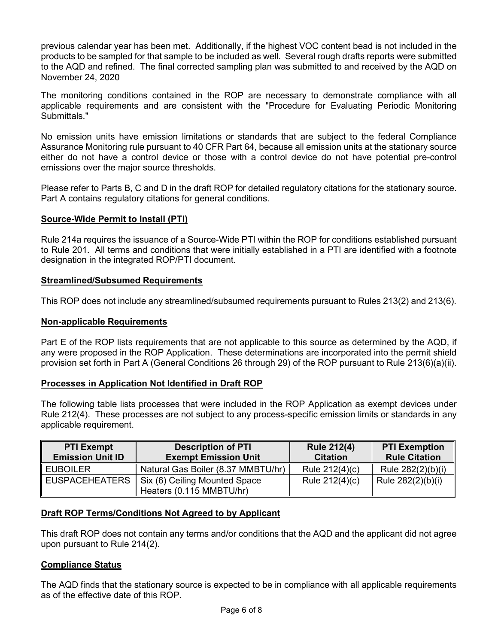previous calendar year has been met. Additionally, if the highest VOC content bead is not included in the products to be sampled for that sample to be included as well. Several rough drafts reports were submitted to the AQD and refined. The final corrected sampling plan was submitted to and received by the AQD on November 24, 2020

The monitoring conditions contained in the ROP are necessary to demonstrate compliance with all applicable requirements and are consistent with the "Procedure for Evaluating Periodic Monitoring Submittals."

No emission units have emission limitations or standards that are subject to the federal Compliance Assurance Monitoring rule pursuant to 40 CFR Part 64, because all emission units at the stationary source either do not have a control device or those with a control device do not have potential pre-control emissions over the major source thresholds.

Please refer to Parts B, C and D in the draft ROP for detailed regulatory citations for the stationary source. Part A contains regulatory citations for general conditions.

# **Source-Wide Permit to Install (PTI)**

Rule 214a requires the issuance of a Source-Wide PTI within the ROP for conditions established pursuant to Rule 201. All terms and conditions that were initially established in a PTI are identified with a footnote designation in the integrated ROP/PTI document.

#### **Streamlined/Subsumed Requirements**

This ROP does not include any streamlined/subsumed requirements pursuant to Rules 213(2) and 213(6).

#### **Non-applicable Requirements**

Part E of the ROP lists requirements that are not applicable to this source as determined by the AQD, if any were proposed in the ROP Application. These determinations are incorporated into the permit shield provision set forth in Part A (General Conditions 26 through 29) of the ROP pursuant to Rule 213(6)(a)(ii).

#### **Processes in Application Not Identified in Draft ROP**

The following table lists processes that were included in the ROP Application as exempt devices under Rule 212(4). These processes are not subject to any process-specific emission limits or standards in any applicable requirement.

| <b>PTI Exempt</b><br><b>Emission Unit ID</b> | <b>Description of PTI</b><br><b>Exempt Emission Unit</b>  | <b>Rule 212(4)</b><br><b>Citation</b> | <b>PTI Exemption</b><br><b>Rule Citation</b> |
|----------------------------------------------|-----------------------------------------------------------|---------------------------------------|----------------------------------------------|
| <b>EUBOILER</b>                              | Natural Gas Boiler (8.37 MMBTU/hr)                        | Rule 212(4)(c)                        | Rule 282(2)(b)(i)                            |
| ∥ EUSPACEHEATERS                             | Six (6) Ceiling Mounted Space<br>Heaters (0.115 MMBTU/hr) | Rule 212(4)(c)                        | Rule 282(2)(b)(i)                            |

#### **Draft ROP Terms/Conditions Not Agreed to by Applicant**

This draft ROP does not contain any terms and/or conditions that the AQD and the applicant did not agree upon pursuant to Rule 214(2).

# **Compliance Status**

The AQD finds that the stationary source is expected to be in compliance with all applicable requirements as of the effective date of this ROP.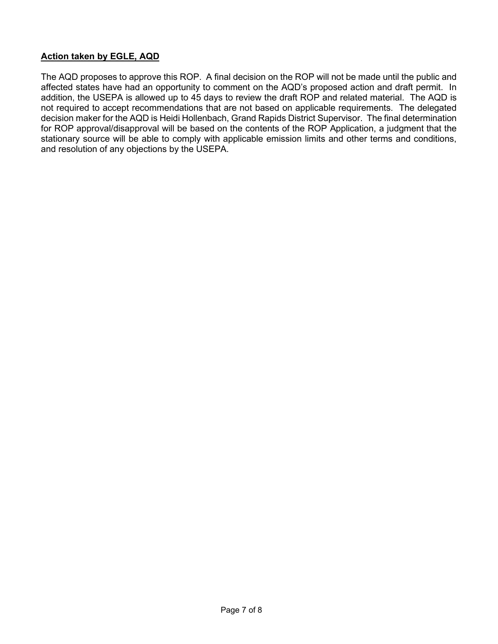# **Action taken by EGLE, AQD**

The AQD proposes to approve this ROP. A final decision on the ROP will not be made until the public and affected states have had an opportunity to comment on the AQD's proposed action and draft permit. In addition, the USEPA is allowed up to 45 days to review the draft ROP and related material. The AQD is not required to accept recommendations that are not based on applicable requirements. The delegated decision maker for the AQD is Heidi Hollenbach, Grand Rapids District Supervisor. The final determination for ROP approval/disapproval will be based on the contents of the ROP Application, a judgment that the stationary source will be able to comply with applicable emission limits and other terms and conditions, and resolution of any objections by the USEPA.